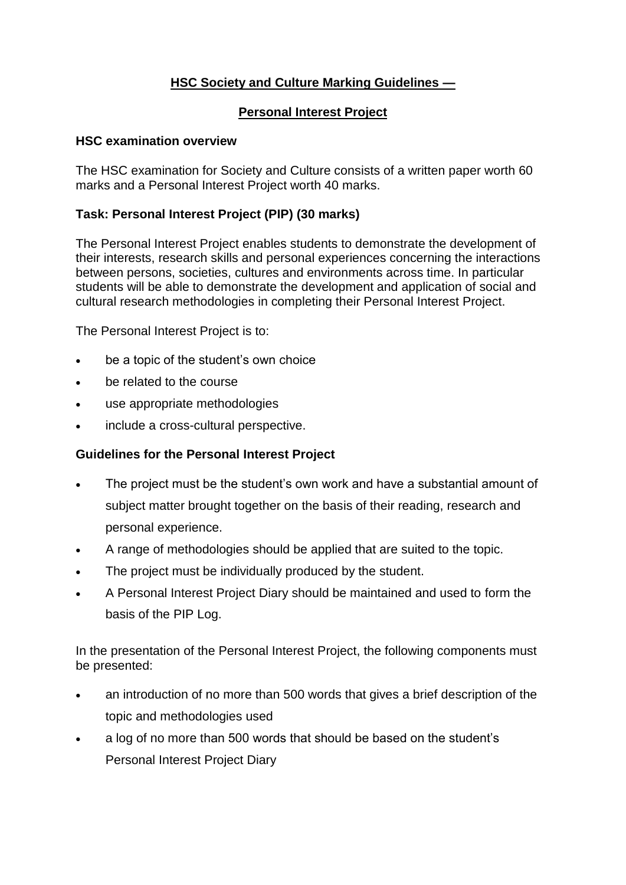## **HSC Society and Culture Marking Guidelines —**

#### **Personal Interest Project**

#### **HSC examination overview**

The HSC examination for Society and Culture consists of a written paper worth 60 marks and a Personal Interest Project worth 40 marks.

### **Task: Personal Interest Project (PIP) (30 marks)**

The Personal Interest Project enables students to demonstrate the development of their interests, research skills and personal experiences concerning the interactions between persons, societies, cultures and environments across time. In particular students will be able to demonstrate the development and application of social and cultural research methodologies in completing their Personal Interest Project.

The Personal Interest Project is to:

- be a topic of the student's own choice
- be related to the course
- use appropriate methodologies
- include a cross-cultural perspective.

### **Guidelines for the Personal Interest Project**

- The project must be the student's own work and have a substantial amount of subject matter brought together on the basis of their reading, research and personal experience.
- A range of methodologies should be applied that are suited to the topic.
- The project must be individually produced by the student.
- A Personal Interest Project Diary should be maintained and used to form the basis of the PIP Log.

In the presentation of the Personal Interest Project, the following components must be presented:

- an introduction of no more than 500 words that gives a brief description of the topic and methodologies used
- a log of no more than 500 words that should be based on the student's Personal Interest Project Diary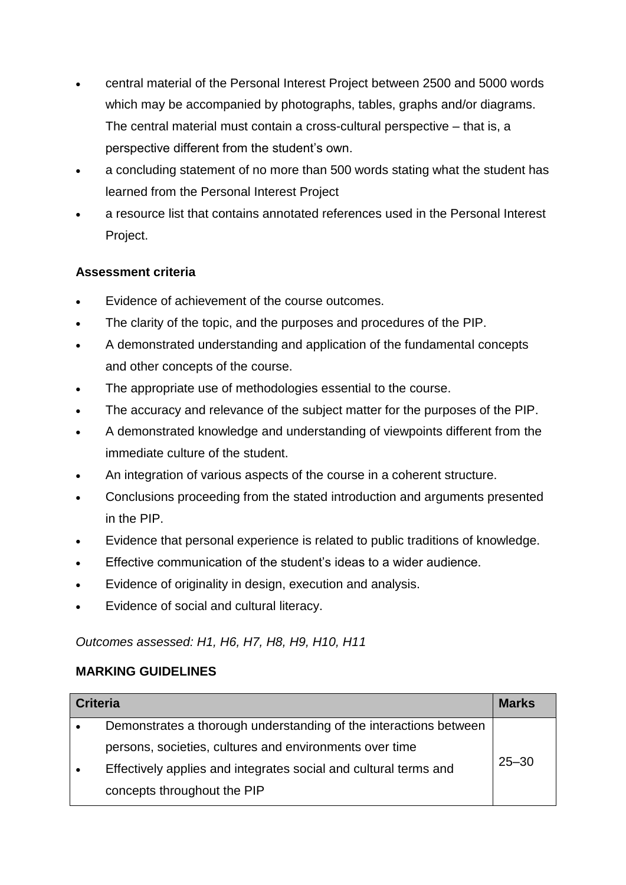- central material of the Personal Interest Project between 2500 and 5000 words which may be accompanied by photographs, tables, graphs and/or diagrams. The central material must contain a cross-cultural perspective – that is, a perspective different from the student's own.
- a concluding statement of no more than 500 words stating what the student has learned from the Personal Interest Project
- a resource list that contains annotated references used in the Personal Interest Project.

# **Assessment criteria**

- Evidence of achievement of the course outcomes.
- The clarity of the topic, and the purposes and procedures of the PIP.
- A demonstrated understanding and application of the fundamental concepts and other concepts of the course.
- The appropriate use of methodologies essential to the course.
- The accuracy and relevance of the subject matter for the purposes of the PIP.
- A demonstrated knowledge and understanding of viewpoints different from the immediate culture of the student.
- An integration of various aspects of the course in a coherent structure.
- Conclusions proceeding from the stated introduction and arguments presented in the PIP.
- Evidence that personal experience is related to public traditions of knowledge.
- Effective communication of the student's ideas to a wider audience.
- Evidence of originality in design, execution and analysis.
- Evidence of social and cultural literacy.

### *Outcomes assessed: H1, H6, H7, H8, H9, H10, H11*

### **MARKING GUIDELINES**

| <b>Criteria</b> |                                                                   | <b>Marks</b> |
|-----------------|-------------------------------------------------------------------|--------------|
|                 | Demonstrates a thorough understanding of the interactions between |              |
|                 | persons, societies, cultures and environments over time           |              |
|                 | Effectively applies and integrates social and cultural terms and  | $25 - 30$    |
|                 | concepts throughout the PIP                                       |              |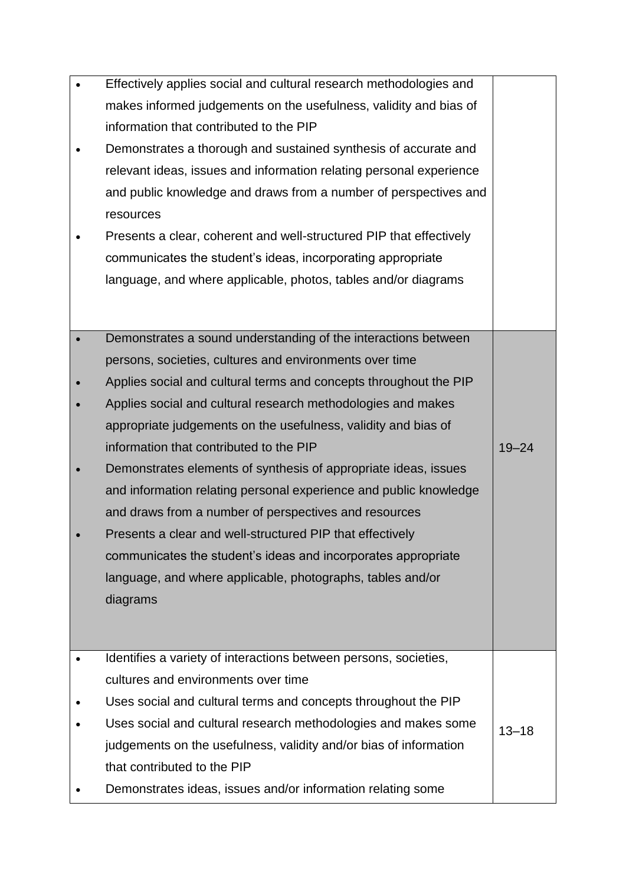| Effectively applies social and cultural research methodologies and  |           |
|---------------------------------------------------------------------|-----------|
| makes informed judgements on the usefulness, validity and bias of   |           |
| information that contributed to the PIP                             |           |
| Demonstrates a thorough and sustained synthesis of accurate and     |           |
| relevant ideas, issues and information relating personal experience |           |
| and public knowledge and draws from a number of perspectives and    |           |
| resources                                                           |           |
| Presents a clear, coherent and well-structured PIP that effectively |           |
| communicates the student's ideas, incorporating appropriate         |           |
| language, and where applicable, photos, tables and/or diagrams      |           |
|                                                                     |           |
|                                                                     |           |
| Demonstrates a sound understanding of the interactions between      |           |
| persons, societies, cultures and environments over time             |           |
| Applies social and cultural terms and concepts throughout the PIP   |           |
| Applies social and cultural research methodologies and makes        |           |
| appropriate judgements on the usefulness, validity and bias of      |           |
| information that contributed to the PIP                             | $19 - 24$ |
| Demonstrates elements of synthesis of appropriate ideas, issues     |           |
| and information relating personal experience and public knowledge   |           |
| and draws from a number of perspectives and resources               |           |
| Presents a clear and well-structured PIP that effectively           |           |
| communicates the student's ideas and incorporates appropriate       |           |
| language, and where applicable, photographs, tables and/or          |           |
| diagrams                                                            |           |
|                                                                     |           |
|                                                                     |           |
| Identifies a variety of interactions between persons, societies,    |           |
| cultures and environments over time                                 |           |
| Uses social and cultural terms and concepts throughout the PIP      |           |
| Uses social and cultural research methodologies and makes some      | $13 - 18$ |
| judgements on the usefulness, validity and/or bias of information   |           |
| that contributed to the PIP                                         |           |
| Demonstrates ideas, issues and/or information relating some         |           |